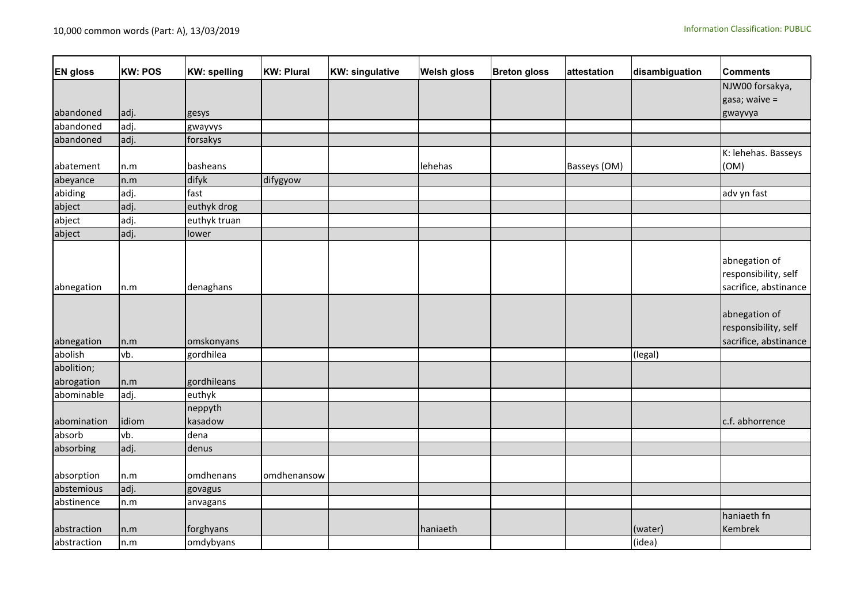| <b>EN gloss</b> | <b>KW: POS</b> | <b>KW: spelling</b> | <b>KW: Plural</b> | <b>KW: singulative</b> | <b>Welsh gloss</b> | <b>Breton gloss</b> | attestation  | disambiguation | <b>Comments</b>                                                |
|-----------------|----------------|---------------------|-------------------|------------------------|--------------------|---------------------|--------------|----------------|----------------------------------------------------------------|
|                 |                |                     |                   |                        |                    |                     |              |                | NJW00 forsakya,                                                |
|                 |                |                     |                   |                        |                    |                     |              |                | gasa; waive $=$                                                |
| abandoned       | adj.           | gesys               |                   |                        |                    |                     |              |                | gwayvya                                                        |
| abandoned       | adj.           | gwayvys             |                   |                        |                    |                     |              |                |                                                                |
| abandoned       | adj.           | forsakys            |                   |                        |                    |                     |              |                |                                                                |
|                 |                |                     |                   |                        |                    |                     |              |                | K: lehehas. Basseys                                            |
| abatement       | n.m            | basheans            |                   |                        | lehehas            |                     | Basseys (OM) |                | (OM)                                                           |
| abeyance        | n.m            | difyk               | difygyow          |                        |                    |                     |              |                |                                                                |
| abiding         | adj.           | fast                |                   |                        |                    |                     |              |                | adv yn fast                                                    |
| abject          | adj.           | euthyk drog         |                   |                        |                    |                     |              |                |                                                                |
| abject          | adj.           | euthyk truan        |                   |                        |                    |                     |              |                |                                                                |
| abject          | adj.           | lower               |                   |                        |                    |                     |              |                |                                                                |
| abnegation      | n.m            | denaghans           |                   |                        |                    |                     |              |                | abnegation of<br>responsibility, self<br>sacrifice, abstinance |
| abnegation      | n.m            | omskonyans          |                   |                        |                    |                     |              |                | abnegation of<br>responsibility, self<br>sacrifice, abstinance |
| abolish         | vb.            | gordhilea           |                   |                        |                    |                     |              | (legal)        |                                                                |
| abolition;      |                |                     |                   |                        |                    |                     |              |                |                                                                |
| abrogation      | n.m            | gordhileans         |                   |                        |                    |                     |              |                |                                                                |
| abominable      | adj.           | euthyk              |                   |                        |                    |                     |              |                |                                                                |
|                 |                | neppyth             |                   |                        |                    |                     |              |                |                                                                |
| abomination     | idiom          | kasadow             |                   |                        |                    |                     |              |                | c.f. abhorrence                                                |
| absorb          | vb.            | dena                |                   |                        |                    |                     |              |                |                                                                |
| absorbing       | adj.           | denus               |                   |                        |                    |                     |              |                |                                                                |
| absorption      | n.m            | omdhenans           | omdhenansow       |                        |                    |                     |              |                |                                                                |
| abstemious      | adj.           | govagus             |                   |                        |                    |                     |              |                |                                                                |
| abstinence      | n.m            | anvagans            |                   |                        |                    |                     |              |                |                                                                |
| abstraction     | n.m            | forghyans           |                   |                        | haniaeth           |                     |              | (water)        | haniaeth fn<br>Kembrek                                         |
| abstraction     | n.m            | omdybyans           |                   |                        |                    |                     |              | (idea)         |                                                                |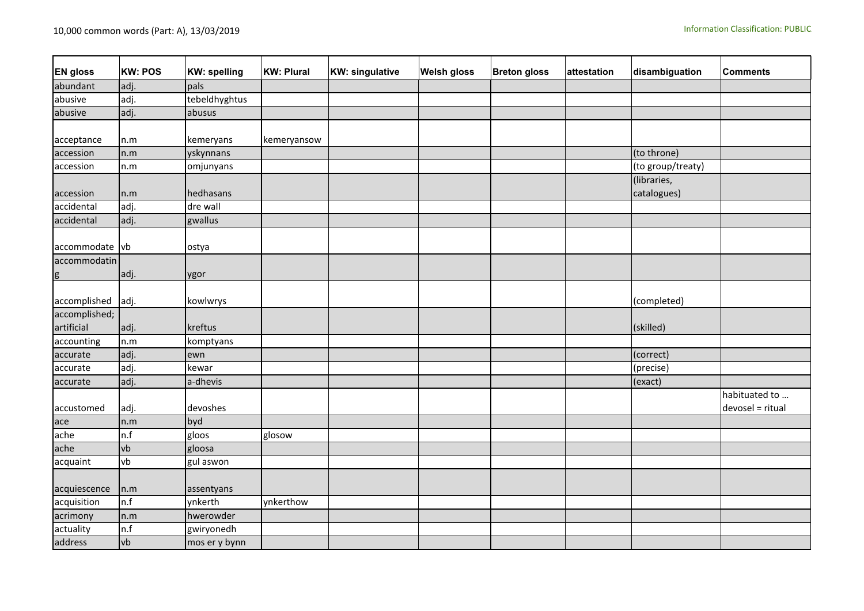| <b>EN gloss</b> | <b>KW: POS</b> | <b>KW: spelling</b> | <b>KW: Plural</b> | <b>KW: singulative</b> | <b>Welsh gloss</b> | <b>Breton gloss</b> | attestation | disambiguation    | <b>Comments</b>  |
|-----------------|----------------|---------------------|-------------------|------------------------|--------------------|---------------------|-------------|-------------------|------------------|
| abundant        | adj.           | pals                |                   |                        |                    |                     |             |                   |                  |
| abusive         | adj.           | tebeldhyghtus       |                   |                        |                    |                     |             |                   |                  |
| abusive         | adj.           | abusus              |                   |                        |                    |                     |             |                   |                  |
|                 |                |                     |                   |                        |                    |                     |             |                   |                  |
| acceptance      | n.m            | kemeryans           | kemeryansow       |                        |                    |                     |             |                   |                  |
| accession       | n.m            | yskynnans           |                   |                        |                    |                     |             | (to throne)       |                  |
| accession       | n.m            | omjunyans           |                   |                        |                    |                     |             | (to group/treaty) |                  |
|                 |                |                     |                   |                        |                    |                     |             | (libraries,       |                  |
| accession       | n.m            | hedhasans           |                   |                        |                    |                     |             | catalogues)       |                  |
| accidental      | adj.           | dre wall            |                   |                        |                    |                     |             |                   |                  |
| accidental      | adj.           | gwallus             |                   |                        |                    |                     |             |                   |                  |
|                 |                |                     |                   |                        |                    |                     |             |                   |                  |
| accommodate vb  |                | ostya               |                   |                        |                    |                     |             |                   |                  |
| accommodatin    |                |                     |                   |                        |                    |                     |             |                   |                  |
| g               | adj.           | ygor                |                   |                        |                    |                     |             |                   |                  |
|                 |                |                     |                   |                        |                    |                     |             |                   |                  |
| accomplished    | adj.           | kowlwrys            |                   |                        |                    |                     |             | (completed)       |                  |
| accomplished;   |                |                     |                   |                        |                    |                     |             |                   |                  |
| artificial      | adj.           | kreftus             |                   |                        |                    |                     |             | (skilled)         |                  |
| accounting      | n.m            | komptyans           |                   |                        |                    |                     |             |                   |                  |
| accurate        | adj.           | ewn                 |                   |                        |                    |                     |             | (correct)         |                  |
| accurate        | adj.           | kewar               |                   |                        |                    |                     |             | (precise)         |                  |
| accurate        | adj.           | a-dhevis            |                   |                        |                    |                     |             | (exact)           |                  |
|                 |                |                     |                   |                        |                    |                     |             |                   | habituated to    |
| accustomed      | adj.           | devoshes            |                   |                        |                    |                     |             |                   | devosel = ritual |
| ace             | n.m            | byd                 |                   |                        |                    |                     |             |                   |                  |
| ache            | n.f            | gloos               | glosow            |                        |                    |                     |             |                   |                  |
| ache            | vb             | gloosa              |                   |                        |                    |                     |             |                   |                  |
| acquaint        | vb             | gul aswon           |                   |                        |                    |                     |             |                   |                  |
| acquiescence    | n.m            | assentyans          |                   |                        |                    |                     |             |                   |                  |
| acquisition     | n.f            | ynkerth             | ynkerthow         |                        |                    |                     |             |                   |                  |
| acrimony        | n.m            | hwerowder           |                   |                        |                    |                     |             |                   |                  |
| actuality       | n.f            | gwiryonedh          |                   |                        |                    |                     |             |                   |                  |
| address         | vb             | mos er y bynn       |                   |                        |                    |                     |             |                   |                  |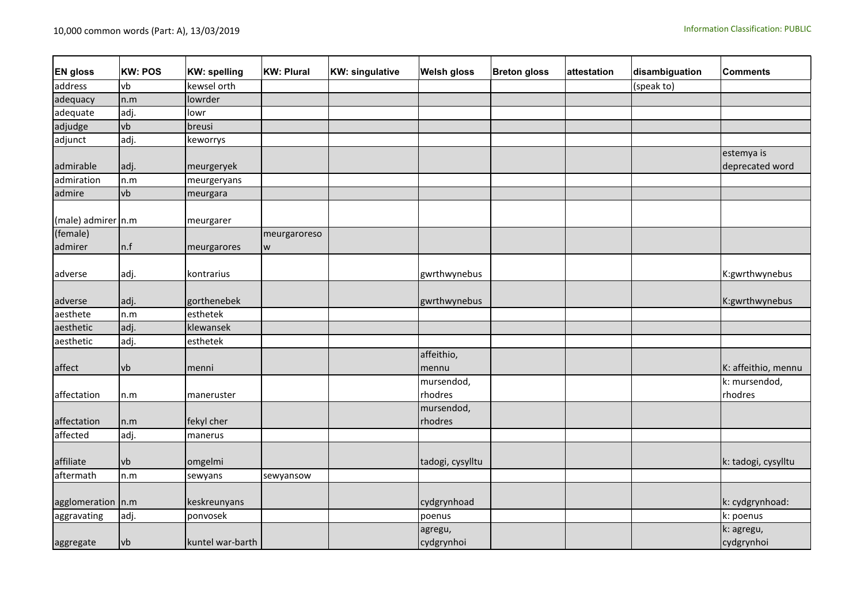| <b>EN gloss</b>     | <b>KW: POS</b> | <b>KW: spelling</b> | <b>KW: Plural</b> | <b>KW: singulative</b> | <b>Welsh gloss</b>    | <b>Breton gloss</b> | attestation | disambiguation | Comments                 |
|---------------------|----------------|---------------------|-------------------|------------------------|-----------------------|---------------------|-------------|----------------|--------------------------|
| address             | vb             | kewsel orth         |                   |                        |                       |                     |             | (speak to)     |                          |
| adequacy            | n.m            | lowrder             |                   |                        |                       |                     |             |                |                          |
| adequate            | adj.           | lowr                |                   |                        |                       |                     |             |                |                          |
| adjudge             | vb             | breusi              |                   |                        |                       |                     |             |                |                          |
| adjunct             | adj.           | keworrys            |                   |                        |                       |                     |             |                |                          |
|                     |                |                     |                   |                        |                       |                     |             |                | estemya is               |
| admirable           | adj.           | meurgeryek          |                   |                        |                       |                     |             |                | deprecated word          |
| admiration          | n.m            | meurgeryans         |                   |                        |                       |                     |             |                |                          |
| admire              | vb             | meurgara            |                   |                        |                       |                     |             |                |                          |
| (male) admirer n.m  |                | meurgarer           |                   |                        |                       |                     |             |                |                          |
| (female)            |                |                     | meurgaroreso      |                        |                       |                     |             |                |                          |
| admirer             | n.f            | meurgarores         | W                 |                        |                       |                     |             |                |                          |
| adverse             | adj.           | kontrarius          |                   |                        | gwrthwynebus          |                     |             |                | K:gwrthwynebus           |
| adverse             | adj.           | gorthenebek         |                   |                        | gwrthwynebus          |                     |             |                | K:gwrthwynebus           |
| aesthete            | n.m            | esthetek            |                   |                        |                       |                     |             |                |                          |
| aesthetic           | adj.           | klewansek           |                   |                        |                       |                     |             |                |                          |
| aesthetic           | adj.           | esthetek            |                   |                        |                       |                     |             |                |                          |
| affect              | vb             | menni               |                   |                        | affeithio,<br>mennu   |                     |             |                | K: affeithio, mennu      |
| affectation         | n.m            | maneruster          |                   |                        | mursendod,<br>rhodres |                     |             |                | k: mursendod,<br>rhodres |
| affectation         | n.m            | fekyl cher          |                   |                        | mursendod,<br>rhodres |                     |             |                |                          |
| affected            | adj.           | manerus             |                   |                        |                       |                     |             |                |                          |
|                     |                |                     |                   |                        |                       |                     |             |                |                          |
| affiliate           | vb             | omgelmi             |                   |                        | tadogi, cysylltu      |                     |             |                | k: tadogi, cysylltu      |
| aftermath           | n.m            | sewyans             | sewyansow         |                        |                       |                     |             |                |                          |
| agglomeration   n.m |                | keskreunyans        |                   |                        | cydgrynhoad           |                     |             |                | k: cydgrynhoad:          |
| aggravating         | adj.           | ponvosek            |                   |                        | poenus                |                     |             |                | k: poenus                |
| aggregate           | lvb            | kuntel war-barth    |                   |                        | agregu,<br>cydgrynhoi |                     |             |                | k: agregu,<br>cydgrynhoi |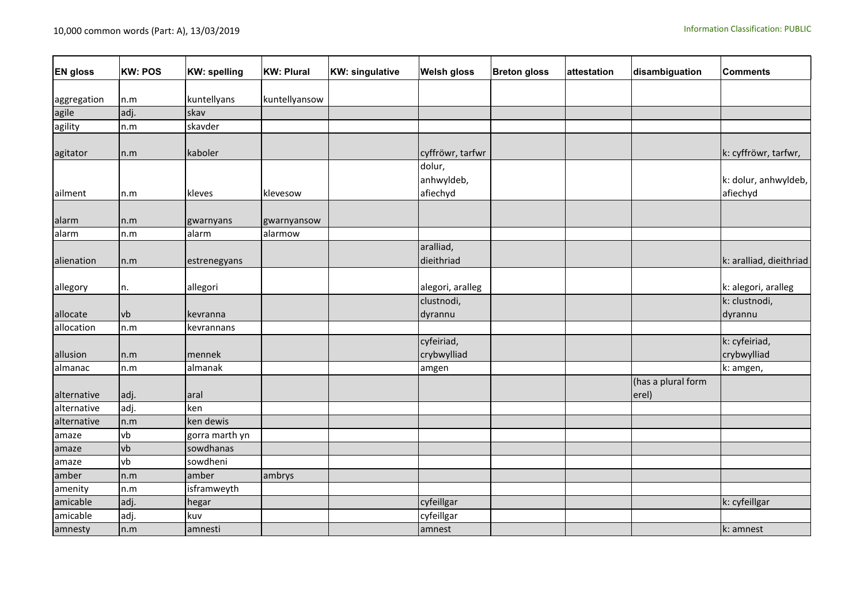| <b>EN gloss</b> | <b>KW: POS</b> | <b>KW: spelling</b> | <b>KW: Plural</b> | <b>KW: singulative</b> | <b>Welsh gloss</b>               | <b>Breton gloss</b> | attestation | disambiguation              | <b>Comments</b>                  |
|-----------------|----------------|---------------------|-------------------|------------------------|----------------------------------|---------------------|-------------|-----------------------------|----------------------------------|
|                 |                |                     |                   |                        |                                  |                     |             |                             |                                  |
| aggregation     | n.m            | kuntellyans         | kuntellyansow     |                        |                                  |                     |             |                             |                                  |
| agile           | adj.           | skav                |                   |                        |                                  |                     |             |                             |                                  |
| agility         | n.m            | skavder             |                   |                        |                                  |                     |             |                             |                                  |
| agitator        | n.m            | kaboler             |                   |                        | cyffröwr, tarfwr                 |                     |             |                             | k: cyffröwr, tarfwr,             |
| ailment         | n.m            | kleves              | klevesow          |                        | dolur,<br>anhwyldeb,<br>afiechyd |                     |             |                             | k: dolur, anhwyldeb,<br>afiechyd |
| alarm           | n.m            | gwarnyans           | gwarnyansow       |                        |                                  |                     |             |                             |                                  |
| alarm           | n.m            | alarm               | alarmow           |                        |                                  |                     |             |                             |                                  |
| alienation      | n.m            | estrenegyans        |                   |                        | aralliad,<br>dieithriad          |                     |             |                             | k: aralliad, dieithriad          |
| allegory        | n.             | allegori            |                   |                        | alegori, aralleg                 |                     |             |                             | k: alegori, aralleg              |
| allocate        | vb             | kevranna            |                   |                        | clustnodi,<br>dyrannu            |                     |             |                             | k: clustnodi,<br>dyrannu         |
| allocation      | n.m            | kevrannans          |                   |                        |                                  |                     |             |                             |                                  |
| allusion        | n.m            | mennek              |                   |                        | cyfeiriad,<br>crybwylliad        |                     |             |                             | k: cyfeiriad,<br>crybwylliad     |
| almanac         | n.m            | almanak             |                   |                        | amgen                            |                     |             |                             | k: amgen,                        |
| alternative     | adj.           | aral                |                   |                        |                                  |                     |             | (has a plural form<br>erel) |                                  |
| alternative     | adj.           | ken                 |                   |                        |                                  |                     |             |                             |                                  |
| alternative     | n.m            | ken dewis           |                   |                        |                                  |                     |             |                             |                                  |
| amaze           | vb             | gorra marth yn      |                   |                        |                                  |                     |             |                             |                                  |
| amaze           | vb             | sowdhanas           |                   |                        |                                  |                     |             |                             |                                  |
| amaze           | vb             | sowdheni            |                   |                        |                                  |                     |             |                             |                                  |
| amber           | n.m            | amber               | ambrys            |                        |                                  |                     |             |                             |                                  |
| amenity         | n.m            | isframweyth         |                   |                        |                                  |                     |             |                             |                                  |
| amicable        | adj.           | hegar               |                   |                        | cyfeillgar                       |                     |             |                             | k: cyfeillgar                    |
| amicable        | adj.           | kuv                 |                   |                        | cyfeillgar                       |                     |             |                             |                                  |
| amnesty         | n.m            | amnesti             |                   |                        | amnest                           |                     |             |                             | k: amnest                        |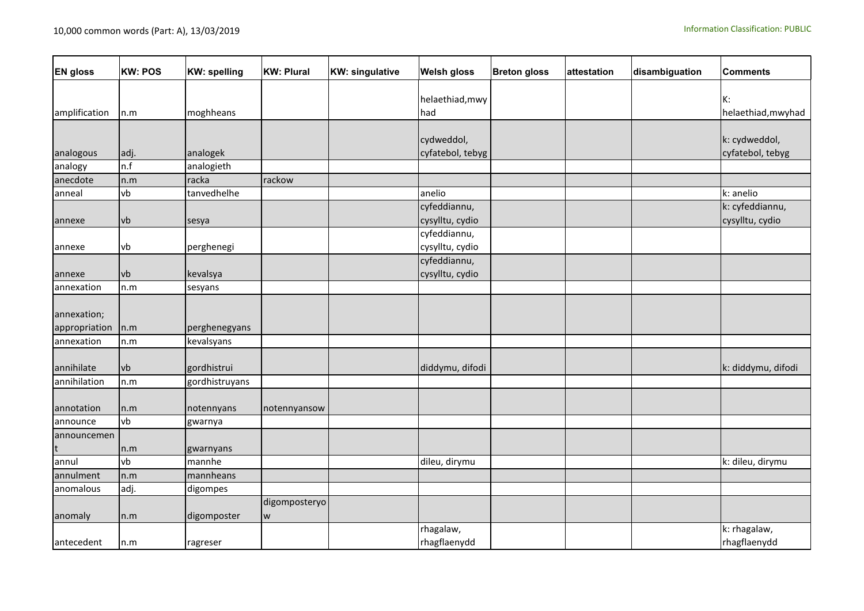| <b>EN gloss</b> | <b>KW: POS</b> | <b>KW: spelling</b> | <b>KW: Plural</b>                                                                                          | <b>KW: singulative</b> | <b>Welsh gloss</b> | <b>Breton gloss</b> | attestation | disambiguation | Comments           |
|-----------------|----------------|---------------------|------------------------------------------------------------------------------------------------------------|------------------------|--------------------|---------------------|-------------|----------------|--------------------|
|                 |                |                     |                                                                                                            |                        | helaethiad, mwy    |                     |             |                | K:                 |
| amplification   | n.m            | moghheans           |                                                                                                            |                        | had                |                     |             |                | helaethiad, mwyhad |
|                 |                |                     |                                                                                                            |                        |                    |                     |             |                |                    |
|                 |                |                     |                                                                                                            |                        | cydweddol,         |                     |             |                | k: cydweddol,      |
| analogous       | adj.           | analogek            |                                                                                                            |                        | cyfatebol, tebyg   |                     |             |                | cyfatebol, tebyg   |
| analogy         | n.f            | analogieth          |                                                                                                            |                        |                    |                     |             |                |                    |
| anecdote        | n.m            | racka               | rackow                                                                                                     |                        |                    |                     |             |                |                    |
| anneal          | vb             | tanvedhelhe         |                                                                                                            |                        | anelio             |                     |             |                | k: anelio          |
|                 |                |                     |                                                                                                            |                        | cyfeddiannu,       |                     |             |                | k: cyfeddiannu,    |
| annexe          | vb             | sesya               |                                                                                                            |                        | cysylltu, cydio    |                     |             |                | cysylltu, cydio    |
|                 |                |                     |                                                                                                            |                        | cyfeddiannu,       |                     |             |                |                    |
| annexe          | vb             | perghenegi          |                                                                                                            |                        | cysylltu, cydio    |                     |             |                |                    |
|                 |                |                     |                                                                                                            |                        | cyfeddiannu,       |                     |             |                |                    |
| annexe          | vb             | kevalsya            |                                                                                                            |                        | cysylltu, cydio    |                     |             |                |                    |
| annexation      | n.m            | sesyans             |                                                                                                            |                        |                    |                     |             |                |                    |
|                 |                |                     |                                                                                                            |                        |                    |                     |             |                |                    |
| annexation;     |                |                     |                                                                                                            |                        |                    |                     |             |                |                    |
| appropriation   | n.m            | perghenegyans       |                                                                                                            |                        |                    |                     |             |                |                    |
| annexation      | n.m            | kevalsyans          |                                                                                                            |                        |                    |                     |             |                |                    |
| annihilate      | vb             | gordhistrui         |                                                                                                            |                        | diddymu, difodi    |                     |             |                | k: diddymu, difodi |
| annihilation    | n.m            | gordhistruyans      |                                                                                                            |                        |                    |                     |             |                |                    |
|                 |                |                     |                                                                                                            |                        |                    |                     |             |                |                    |
| annotation      | n.m            | notennyans          | notennyansow                                                                                               |                        |                    |                     |             |                |                    |
| announce        | vb             | gwarnya             |                                                                                                            |                        |                    |                     |             |                |                    |
| announcemen     |                |                     |                                                                                                            |                        |                    |                     |             |                |                    |
|                 | n.m            | gwarnyans           |                                                                                                            |                        |                    |                     |             |                |                    |
| annul           | vb             | mannhe              |                                                                                                            |                        | dileu, dirymu      |                     |             |                | k: dileu, dirymu   |
| annulment       | n.m            | mannheans           |                                                                                                            |                        |                    |                     |             |                |                    |
| anomalous       | adj.           | digompes            |                                                                                                            |                        |                    |                     |             |                |                    |
|                 |                |                     | digomposteryo                                                                                              |                        |                    |                     |             |                |                    |
| anomaly         | n.m            | digomposter         | $\mathsf{W}% _{T}=\mathsf{W}_{T}\!\left( a,b\right) ,\ \mathsf{W}_{T}=\mathsf{W}_{T}\!\left( a,b\right) ,$ |                        |                    |                     |             |                |                    |
|                 |                |                     |                                                                                                            |                        | rhagalaw,          |                     |             |                | k: rhagalaw,       |
| antecedent      | n.m            | ragreser            |                                                                                                            |                        | rhagflaenydd       |                     |             |                | rhagflaenydd       |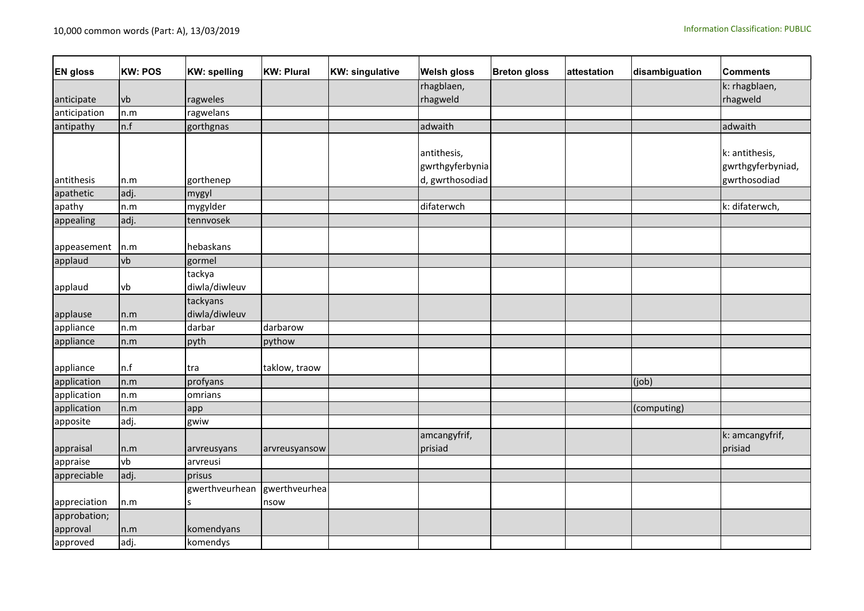| <b>EN gloss</b>          | <b>KW: POS</b> | <b>KW: spelling</b>       | <b>KW: Plural</b>     | <b>KW: singulative</b> | <b>Welsh gloss</b>                                | <b>Breton gloss</b> | attestation | disambiguation | <b>Comments</b>                                     |
|--------------------------|----------------|---------------------------|-----------------------|------------------------|---------------------------------------------------|---------------------|-------------|----------------|-----------------------------------------------------|
|                          |                |                           |                       |                        | rhagblaen,                                        |                     |             |                | k: rhagblaen,                                       |
| anticipate               | vb             | ragweles                  |                       |                        | rhagweld                                          |                     |             |                | rhagweld                                            |
| anticipation             | n.m            | ragwelans                 |                       |                        |                                                   |                     |             |                |                                                     |
| antipathy                | n.f            | gorthgnas                 |                       |                        | adwaith                                           |                     |             |                | adwaith                                             |
| antithesis               | n.m            | gorthenep                 |                       |                        | antithesis,<br>gwrthgyferbynia<br>d, gwrthosodiad |                     |             |                | k: antithesis,<br>gwrthgyferbyniad,<br>gwrthosodiad |
| apathetic                | adj.           | mygyl                     |                       |                        |                                                   |                     |             |                |                                                     |
| apathy                   | n.m            | mygylder                  |                       |                        | difaterwch                                        |                     |             |                | k: difaterwch,                                      |
| appealing                | adj.           | tennvosek                 |                       |                        |                                                   |                     |             |                |                                                     |
| appeasement              | n.m            | hebaskans                 |                       |                        |                                                   |                     |             |                |                                                     |
| applaud                  | vb             | gormel                    |                       |                        |                                                   |                     |             |                |                                                     |
| applaud                  | vb             | tackya<br>diwla/diwleuv   |                       |                        |                                                   |                     |             |                |                                                     |
| applause                 | n.m            | tackyans<br>diwla/diwleuv |                       |                        |                                                   |                     |             |                |                                                     |
| appliance                | n.m            | darbar                    | darbarow              |                        |                                                   |                     |             |                |                                                     |
| appliance                | n.m            | pyth                      | pythow                |                        |                                                   |                     |             |                |                                                     |
| appliance                | n.f            | tra                       | taklow, traow         |                        |                                                   |                     |             |                |                                                     |
| application              | n.m            | profyans                  |                       |                        |                                                   |                     |             | (job)          |                                                     |
| application              | n.m            | omrians                   |                       |                        |                                                   |                     |             |                |                                                     |
| application              | n.m            | app                       |                       |                        |                                                   |                     |             | (computing)    |                                                     |
| apposite                 | adj.           | gwiw                      |                       |                        |                                                   |                     |             |                |                                                     |
| appraisal                | n.m            | arvreusyans               | arvreusyansow         |                        | amcangyfrif,<br>prisiad                           |                     |             |                | k: amcangyfrif,<br>prisiad                          |
| appraise                 | vb             | arvreusi                  |                       |                        |                                                   |                     |             |                |                                                     |
| appreciable              | adj.           | prisus                    |                       |                        |                                                   |                     |             |                |                                                     |
| appreciation             | n.m            | gwerthveurhean            | gwerthveurhea<br>nsow |                        |                                                   |                     |             |                |                                                     |
| approbation;<br>approval | n.m            | komendyans                |                       |                        |                                                   |                     |             |                |                                                     |
| approved                 | adj.           | komendys                  |                       |                        |                                                   |                     |             |                |                                                     |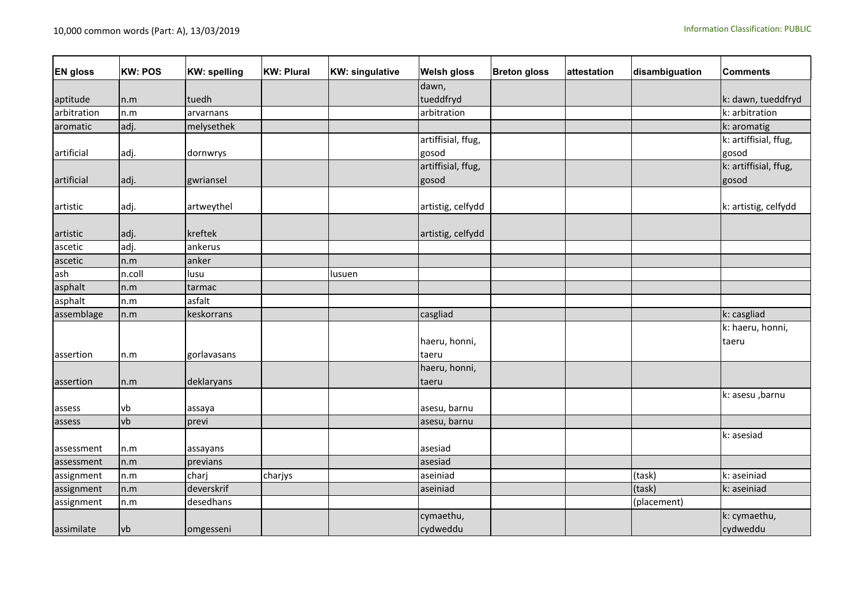| <b>EN gloss</b> | <b>KW: POS</b> | <b>KW: spelling</b> | <b>KW: Plural</b> | <b>KW: singulative</b> | <b>Welsh gloss</b>          | <b>Breton gloss</b> | attestation | disambiguation | <b>Comments</b>                |
|-----------------|----------------|---------------------|-------------------|------------------------|-----------------------------|---------------------|-------------|----------------|--------------------------------|
|                 |                |                     |                   |                        | dawn,                       |                     |             |                |                                |
| aptitude        | n.m            | tuedh               |                   |                        | tueddfryd                   |                     |             |                | k: dawn, tueddfryd             |
| arbitration     | n.m            | arvarnans           |                   |                        | arbitration                 |                     |             |                | k: arbitration                 |
| aromatic        | adj.           | melysethek          |                   |                        |                             |                     |             |                | k: aromatig                    |
| artificial      |                |                     |                   |                        | artiffisial, ffug,          |                     |             |                | k: artiffisial, ffug,<br>gosod |
|                 | adj.           | dornwrys            |                   |                        | gosod<br>artiffisial, ffug, |                     |             |                |                                |
| artificial      | adj.           | gwriansel           |                   |                        | gosod                       |                     |             |                | k: artiffisial, ffug,<br>gosod |
| artistic        | adj.           | artweythel          |                   |                        | artistig, celfydd           |                     |             |                | k: artistig, celfydd           |
| artistic        | adj.           | kreftek             |                   |                        | artistig, celfydd           |                     |             |                |                                |
| ascetic         | adj.           | ankerus             |                   |                        |                             |                     |             |                |                                |
| ascetic         | n.m            | anker               |                   |                        |                             |                     |             |                |                                |
| ash             | n.coll         | lusu                |                   | lusuen                 |                             |                     |             |                |                                |
| asphalt         | n.m            | tarmac              |                   |                        |                             |                     |             |                |                                |
| asphalt         | n.m            | asfalt              |                   |                        |                             |                     |             |                |                                |
| assemblage      | n.m            | keskorrans          |                   |                        | casgliad                    |                     |             |                | k: casgliad                    |
|                 |                |                     |                   |                        |                             |                     |             |                | k: haeru, honni,               |
|                 |                |                     |                   |                        | haeru, honni,               |                     |             |                | taeru                          |
| assertion       | n.m            | gorlavasans         |                   |                        | taeru                       |                     |             |                |                                |
|                 |                |                     |                   |                        | haeru, honni,               |                     |             |                |                                |
| assertion       | n.m            | deklaryans          |                   |                        | taeru                       |                     |             |                |                                |
|                 | vb             |                     |                   |                        | asesu, barnu                |                     |             |                | k: asesu , barnu               |
| assess          | vb             | assaya<br>previ     |                   |                        | asesu, barnu                |                     |             |                |                                |
| assess          |                |                     |                   |                        |                             |                     |             |                | k: asesiad                     |
| assessment      | n.m            | assayans            |                   |                        | asesiad                     |                     |             |                |                                |
| assessment      | n.m            | previans            |                   |                        | asesiad                     |                     |             |                |                                |
| assignment      | n.m            | charj               | charjys           |                        | aseiniad                    |                     |             | (task)         | k: aseiniad                    |
| assignment      | n.m            | deverskrif          |                   |                        | aseiniad                    |                     |             | (task)         | k: aseiniad                    |
| assignment      | n.m            | desedhans           |                   |                        |                             |                     |             | (placement)    |                                |
|                 |                |                     |                   |                        | cymaethu,                   |                     |             |                | k: cymaethu,                   |
| assimilate      | vb             | omgesseni           |                   |                        | cydweddu                    |                     |             |                | cydweddu                       |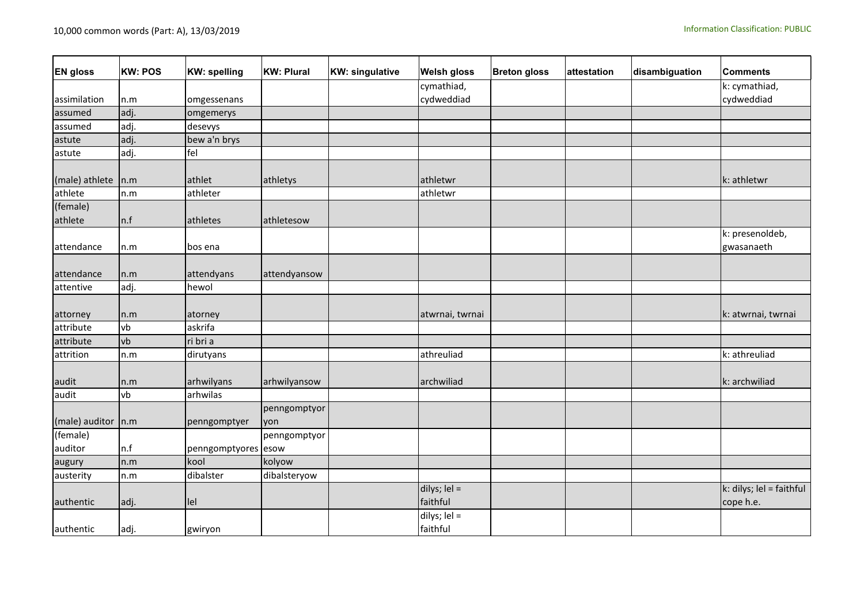| <b>EN gloss</b>     | <b>KW: POS</b> | <b>KW: spelling</b> | <b>KW: Plural</b>   | <b>KW: singulative</b> | <b>Welsh gloss</b>         | <b>Breton gloss</b> | attestation | disambiguation | <b>Comments</b>                       |
|---------------------|----------------|---------------------|---------------------|------------------------|----------------------------|---------------------|-------------|----------------|---------------------------------------|
|                     |                |                     |                     |                        | cymathiad,                 |                     |             |                | k: cymathiad,                         |
| assimilation        | n.m            | omgessenans         |                     |                        | cydweddiad                 |                     |             |                | cydweddiad                            |
| assumed             | adj.           | omgemerys           |                     |                        |                            |                     |             |                |                                       |
| assumed             | adj.           | desevys             |                     |                        |                            |                     |             |                |                                       |
| astute              | adj.           | bew a'n brys        |                     |                        |                            |                     |             |                |                                       |
| astute              | adj.           | fel                 |                     |                        |                            |                     |             |                |                                       |
| (male) athlete      | n.m            | athlet              | athletys            |                        | athletwr                   |                     |             |                | k: athletwr                           |
| athlete             | n.m            | athleter            |                     |                        | athletwr                   |                     |             |                |                                       |
| (female)<br>athlete | n.f            | athletes            | athletesow          |                        |                            |                     |             |                |                                       |
| attendance          | n.m            | bos ena             |                     |                        |                            |                     |             |                | k: presenoldeb,<br>gwasanaeth         |
| attendance          | n.m            | attendyans          | attendyansow        |                        |                            |                     |             |                |                                       |
| attentive           | adj.           | hewol               |                     |                        |                            |                     |             |                |                                       |
| attorney            | n.m            | atorney             |                     |                        | atwrnai, twrnai            |                     |             |                | k: atwrnai, twrnai                    |
| attribute           | vb             | askrifa             |                     |                        |                            |                     |             |                |                                       |
| attribute           | vb             | ri bri a            |                     |                        |                            |                     |             |                |                                       |
| attrition           | n.m            | dirutyans           |                     |                        | athreuliad                 |                     |             |                | k: athreuliad                         |
| audit               | n.m            | arhwilyans          | arhwilyansow        |                        | archwiliad                 |                     |             |                | k: archwiliad                         |
| audit               | vb             | arhwilas            |                     |                        |                            |                     |             |                |                                       |
| (male) auditor      | n.m            | penngomptyer        | penngomptyor<br>yon |                        |                            |                     |             |                |                                       |
| (female)            |                |                     | penngomptyor        |                        |                            |                     |             |                |                                       |
| auditor             | n.f            | penngomptyores esow |                     |                        |                            |                     |             |                |                                       |
| augury              | n.m            | kool                | kolyow              |                        |                            |                     |             |                |                                       |
| austerity           | n.m            | dibalster           | dibalsteryow        |                        |                            |                     |             |                |                                       |
| authentic           | adj.           | lel                 |                     |                        | dilys; $lel =$<br>faithful |                     |             |                | k: dilys; lel = faithful<br>cope h.e. |
| authentic           | adj.           | gwiryon             |                     |                        | dilys; $ el =$<br>faithful |                     |             |                |                                       |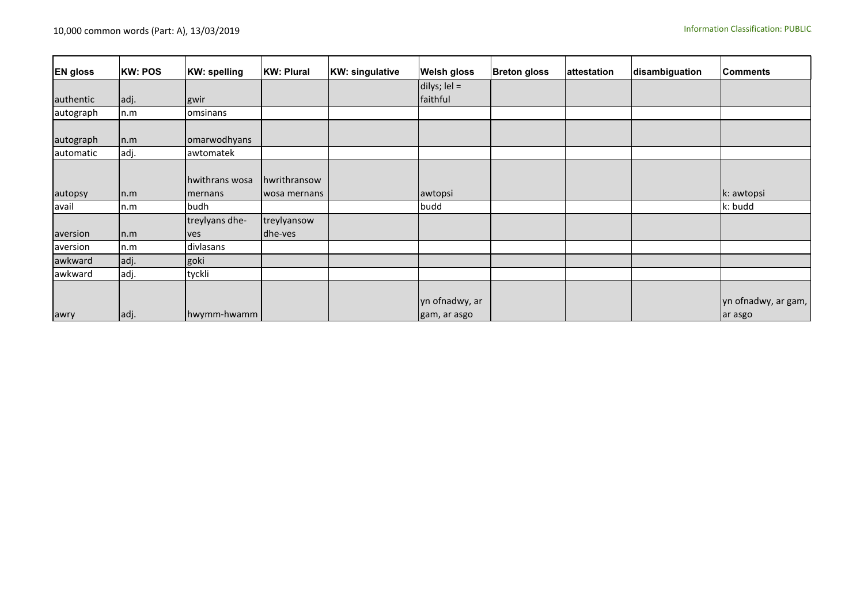|                 | <b>KW: POS</b> |                     |                   |                        |                       |                     |             |                |                     |
|-----------------|----------------|---------------------|-------------------|------------------------|-----------------------|---------------------|-------------|----------------|---------------------|
| <b>EN gloss</b> |                | <b>KW: spelling</b> | <b>KW: Plural</b> | <b>KW: singulative</b> | <b>Welsh gloss</b>    | <b>Breton gloss</b> | attestation | disambiguation | <b>Comments</b>     |
|                 |                |                     |                   |                        | dilys; $\text{lel} =$ |                     |             |                |                     |
| authentic       | adj.           | gwir                |                   |                        | faithful              |                     |             |                |                     |
| autograph       | n.m            | omsinans            |                   |                        |                       |                     |             |                |                     |
|                 |                |                     |                   |                        |                       |                     |             |                |                     |
| autograph       | n.m            | omarwodhyans        |                   |                        |                       |                     |             |                |                     |
| automatic       | adj.           | awtomatek           |                   |                        |                       |                     |             |                |                     |
|                 |                |                     |                   |                        |                       |                     |             |                |                     |
|                 |                | hwithrans wosa      | hwrithransow      |                        |                       |                     |             |                |                     |
| autopsy         | n.m            | mernans             | wosa mernans      |                        | awtopsi               |                     |             |                | k: awtopsi          |
| avail           | n.m            | budh                |                   |                        | budd                  |                     |             |                | k: budd             |
|                 |                | treylyans dhe-      | treylyansow       |                        |                       |                     |             |                |                     |
| aversion        | n.m            | ves                 | dhe-ves           |                        |                       |                     |             |                |                     |
| aversion        | n.m            | divlasans           |                   |                        |                       |                     |             |                |                     |
| awkward         | adj.           | goki                |                   |                        |                       |                     |             |                |                     |
| awkward         | adj.           | tyckli              |                   |                        |                       |                     |             |                |                     |
|                 |                |                     |                   |                        |                       |                     |             |                |                     |
|                 |                |                     |                   |                        | yn ofnadwy, ar        |                     |             |                | yn ofnadwy, ar gam, |
| awry            | adj.           | hwymm-hwamm         |                   |                        | gam, ar asgo          |                     |             |                | ar asgo             |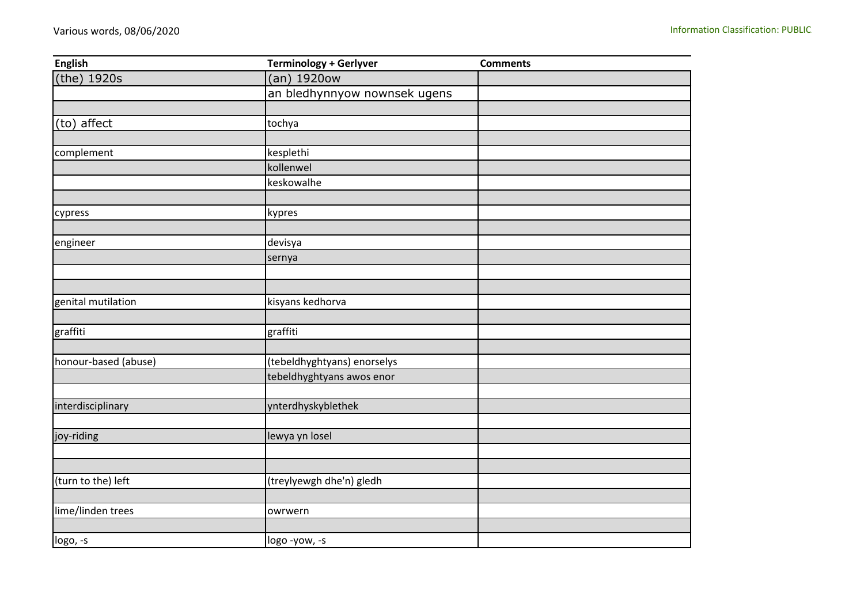| <b>English</b>       | <b>Terminology + Gerlyver</b> | <b>Comments</b> |
|----------------------|-------------------------------|-----------------|
| (the) 1920s          | (an) 1920ow                   |                 |
|                      | an bledhynnyow nownsek ugens  |                 |
|                      |                               |                 |
| (to) affect          | tochya                        |                 |
|                      |                               |                 |
| complement           | kesplethi                     |                 |
|                      | kollenwel                     |                 |
|                      | keskowalhe                    |                 |
|                      |                               |                 |
| cypress              | kypres                        |                 |
|                      |                               |                 |
| engineer             | devisya                       |                 |
|                      | sernya                        |                 |
|                      |                               |                 |
|                      |                               |                 |
| genital mutilation   | kisyans kedhorva              |                 |
|                      |                               |                 |
| graffiti             | graffiti                      |                 |
|                      |                               |                 |
| honour-based (abuse) | (tebeldhyghtyans) enorselys   |                 |
|                      | tebeldhyghtyans awos enor     |                 |
|                      |                               |                 |
| interdisciplinary    | ynterdhyskyblethek            |                 |
|                      |                               |                 |
| joy-riding           | lewya yn losel                |                 |
|                      |                               |                 |
|                      |                               |                 |
| (turn to the) left   | (treylyewgh dhe'n) gledh      |                 |
|                      |                               |                 |
| lime/linden trees    | owrwern                       |                 |
|                      |                               |                 |
| logo, -s             | logo -yow, -s                 |                 |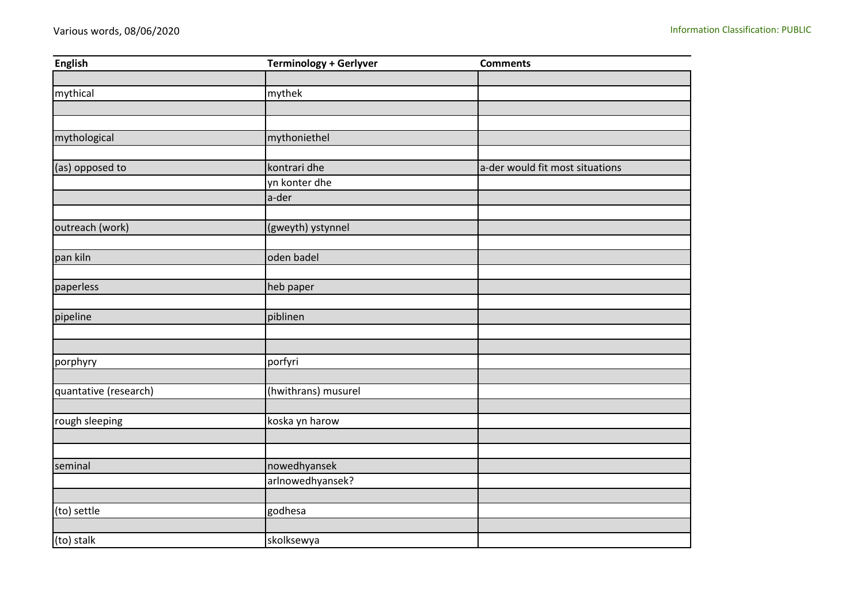| English               | <b>Terminology + Gerlyver</b> | <b>Comments</b>                 |
|-----------------------|-------------------------------|---------------------------------|
|                       |                               |                                 |
| mythical              | mythek                        |                                 |
|                       |                               |                                 |
|                       |                               |                                 |
| mythological          | mythoniethel                  |                                 |
|                       |                               |                                 |
| (as) opposed to       | kontrari dhe                  | a-der would fit most situations |
|                       | yn konter dhe                 |                                 |
|                       | a-der                         |                                 |
|                       |                               |                                 |
| outreach (work)       | (gweyth) ystynnel             |                                 |
|                       |                               |                                 |
| pan kiln              | oden badel                    |                                 |
|                       |                               |                                 |
| paperless             | heb paper                     |                                 |
|                       |                               |                                 |
| pipeline              | piblinen                      |                                 |
|                       |                               |                                 |
|                       |                               |                                 |
| porphyry              | porfyri                       |                                 |
|                       |                               |                                 |
| quantative (research) | (hwithrans) musurel           |                                 |
|                       |                               |                                 |
| rough sleeping        | koska yn harow                |                                 |
|                       |                               |                                 |
|                       |                               |                                 |
| seminal               | nowedhyansek                  |                                 |
|                       | arlnowedhyansek?              |                                 |
|                       |                               |                                 |
| (to) settle           | godhesa                       |                                 |
|                       |                               |                                 |
| (to) stalk            | skolksewya                    |                                 |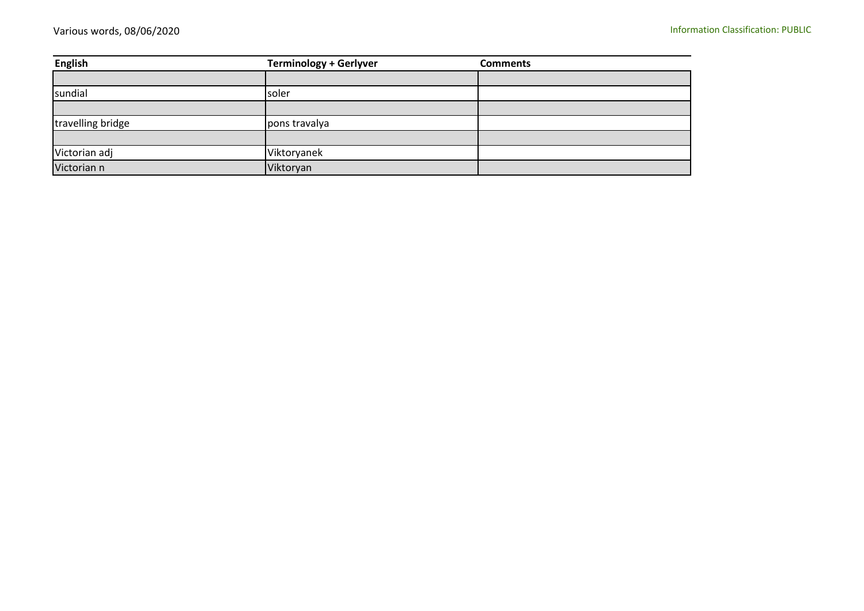| <b>English</b>    | <b>Terminology + Gerlyver</b> | <b>Comments</b> |
|-------------------|-------------------------------|-----------------|
|                   |                               |                 |
| sundial           | soler                         |                 |
|                   |                               |                 |
| travelling bridge | pons travalya                 |                 |
|                   |                               |                 |
| Victorian adj     | Viktoryanek                   |                 |
| Victorian n       | Viktoryan                     |                 |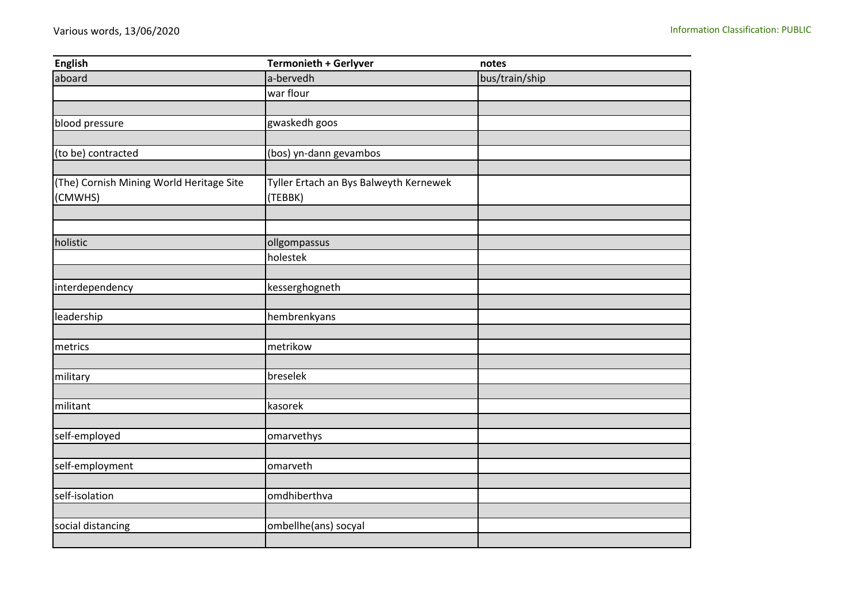| <b>English</b>                           | <b>Termonieth + Gerlyver</b>           | notes          |
|------------------------------------------|----------------------------------------|----------------|
| aboard                                   | a-bervedh                              | bus/train/ship |
|                                          | war flour                              |                |
|                                          |                                        |                |
| blood pressure                           | gwaskedh goos                          |                |
|                                          |                                        |                |
| (to be) contracted                       | (bos) yn-dann gevambos                 |                |
|                                          |                                        |                |
| (The) Cornish Mining World Heritage Site | Tyller Ertach an Bys Balweyth Kernewek |                |
| (CMWHS)                                  | (TEBBK)                                |                |
|                                          |                                        |                |
|                                          |                                        |                |
| holistic                                 | ollgompassus                           |                |
|                                          | holestek                               |                |
|                                          |                                        |                |
| interdependency                          | kesserghogneth                         |                |
|                                          |                                        |                |
| leadership                               | hembrenkyans                           |                |
|                                          |                                        |                |
| metrics                                  | metrikow                               |                |
|                                          |                                        |                |
| military                                 | breselek                               |                |
|                                          |                                        |                |
| militant                                 | kasorek                                |                |
|                                          |                                        |                |
| self-employed                            | omarvethys                             |                |
|                                          |                                        |                |
| self-employment                          | omarveth                               |                |
|                                          |                                        |                |
| self-isolation                           | omdhiberthva                           |                |
|                                          |                                        |                |
| social distancing                        | ombellhe(ans) socyal                   |                |
|                                          |                                        |                |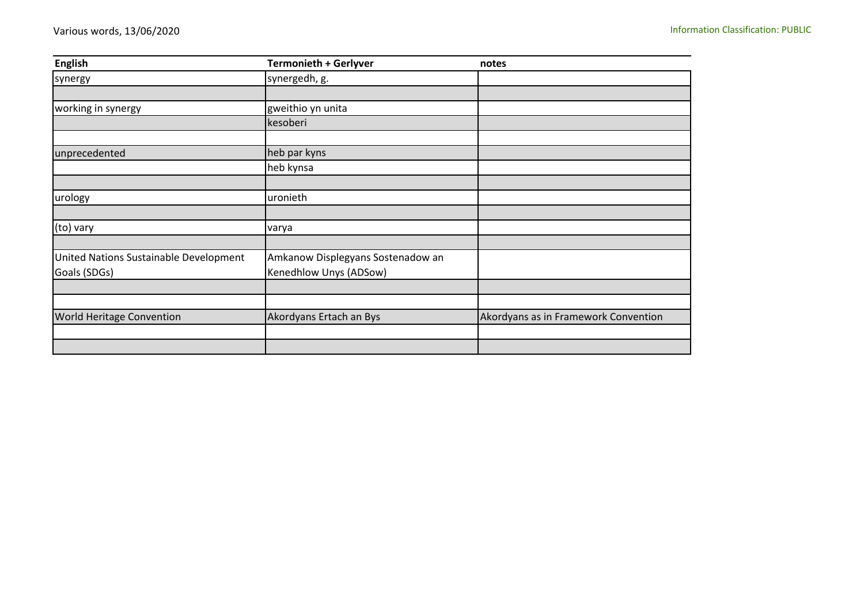| <b>English</b>                         | <b>Termonieth + Gerlyver</b>      | notes                                |
|----------------------------------------|-----------------------------------|--------------------------------------|
| synergy                                | synergedh, g.                     |                                      |
|                                        |                                   |                                      |
| working in synergy                     | gweithio yn unita                 |                                      |
|                                        | kesoberi                          |                                      |
|                                        |                                   |                                      |
| unprecedented                          | heb par kyns                      |                                      |
|                                        | heb kynsa                         |                                      |
|                                        |                                   |                                      |
| urology                                | uronieth                          |                                      |
|                                        |                                   |                                      |
| (to) vary                              | varya                             |                                      |
|                                        |                                   |                                      |
| United Nations Sustainable Development | Amkanow Displegyans Sostenadow an |                                      |
| Goals (SDGs)                           | Kenedhlow Unys (ADSow)            |                                      |
|                                        |                                   |                                      |
|                                        |                                   |                                      |
| <b>World Heritage Convention</b>       | Akordyans Ertach an Bys           | Akordyans as in Framework Convention |
|                                        |                                   |                                      |
|                                        |                                   |                                      |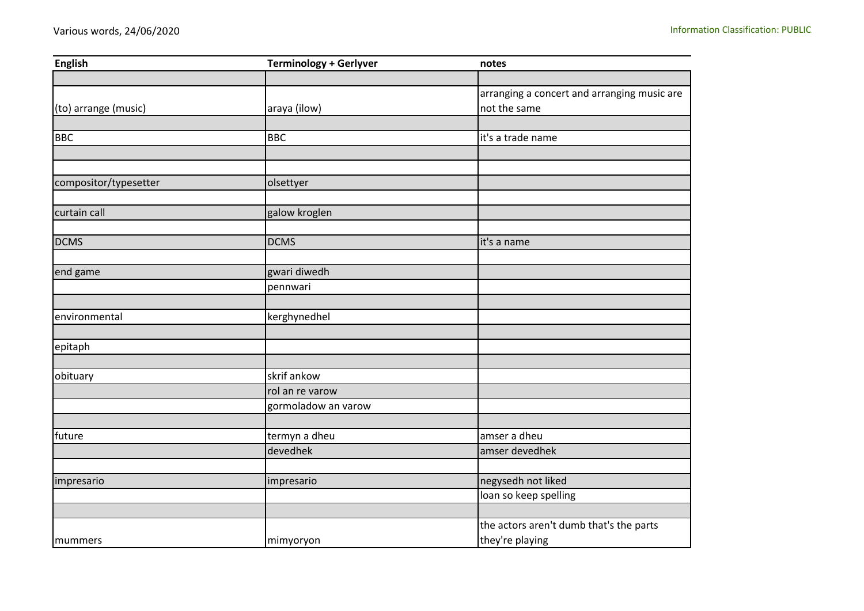| English               | <b>Terminology + Gerlyver</b> | notes                                       |
|-----------------------|-------------------------------|---------------------------------------------|
|                       |                               |                                             |
|                       |                               | arranging a concert and arranging music are |
| (to) arrange (music)  | araya (ilow)                  | not the same                                |
|                       |                               |                                             |
| <b>BBC</b>            | <b>BBC</b>                    | it's a trade name                           |
|                       |                               |                                             |
|                       |                               |                                             |
| compositor/typesetter | olsettyer                     |                                             |
|                       |                               |                                             |
| curtain call          | galow kroglen                 |                                             |
|                       |                               |                                             |
| <b>DCMS</b>           | <b>DCMS</b>                   | it's a name                                 |
|                       |                               |                                             |
| end game              | gwari diwedh                  |                                             |
|                       | pennwari                      |                                             |
|                       |                               |                                             |
| environmental         | kerghynedhel                  |                                             |
|                       |                               |                                             |
| epitaph               |                               |                                             |
|                       |                               |                                             |
| obituary              | skrif ankow                   |                                             |
|                       | rol an re varow               |                                             |
|                       | gormoladow an varow           |                                             |
|                       |                               |                                             |
| future                | termyn a dheu                 | amser a dheu                                |
|                       | devedhek                      | amser devedhek                              |
|                       |                               |                                             |
| impresario            | impresario                    | negysedh not liked                          |
|                       |                               | loan so keep spelling                       |
|                       |                               |                                             |
|                       |                               | the actors aren't dumb that's the parts     |
| mummers               | mimyoryon                     | they're playing                             |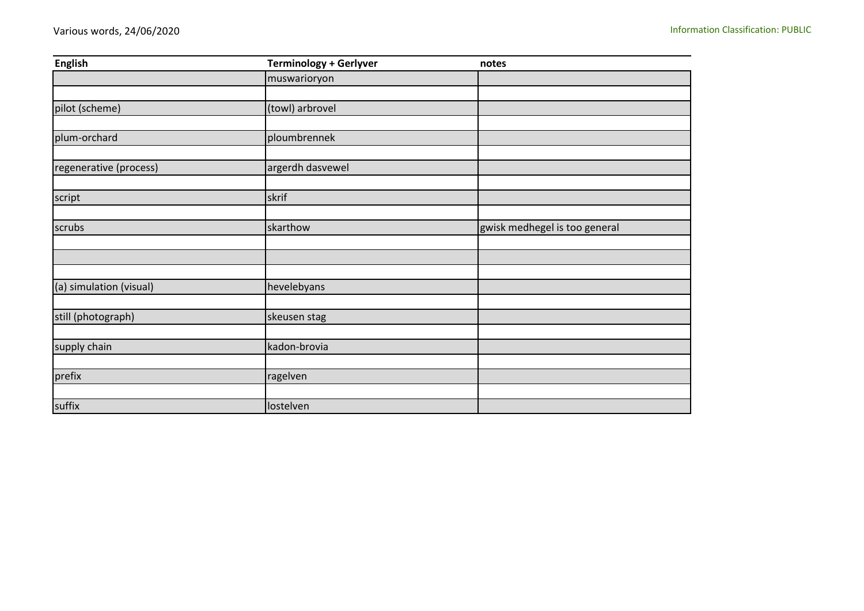| <b>English</b>          | <b>Terminology + Gerlyver</b> | notes                         |
|-------------------------|-------------------------------|-------------------------------|
|                         | muswarioryon                  |                               |
|                         |                               |                               |
| pilot (scheme)          | (towl) arbrovel               |                               |
|                         |                               |                               |
| plum-orchard            | ploumbrennek                  |                               |
|                         |                               |                               |
| regenerative (process)  | argerdh dasvewel              |                               |
|                         |                               |                               |
| script                  | skrif                         |                               |
|                         |                               |                               |
| scrubs                  | skarthow                      | gwisk medhegel is too general |
|                         |                               |                               |
|                         |                               |                               |
|                         |                               |                               |
| (a) simulation (visual) | hevelebyans                   |                               |
|                         |                               |                               |
| still (photograph)      | skeusen stag                  |                               |
|                         |                               |                               |
| supply chain            | kadon-brovia                  |                               |
|                         |                               |                               |
| prefix                  | ragelven                      |                               |
|                         |                               |                               |
| suffix                  | lostelven                     |                               |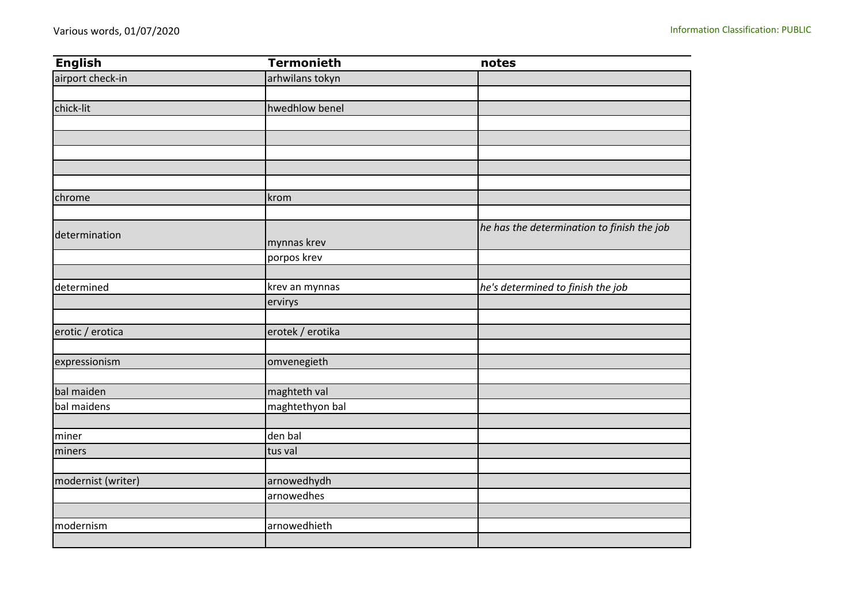| <b>English</b>     | <b>Termonieth</b> | notes                                      |
|--------------------|-------------------|--------------------------------------------|
| airport check-in   | arhwilans tokyn   |                                            |
|                    |                   |                                            |
| chick-lit          | hwedhlow benel    |                                            |
|                    |                   |                                            |
|                    |                   |                                            |
|                    |                   |                                            |
|                    |                   |                                            |
|                    |                   |                                            |
| chrome             | krom              |                                            |
|                    |                   |                                            |
| determination      |                   | he has the determination to finish the job |
|                    | mynnas krev       |                                            |
|                    | porpos krev       |                                            |
|                    |                   |                                            |
| determined         | krev an mynnas    | he's determined to finish the job          |
|                    | ervirys           |                                            |
|                    |                   |                                            |
| erotic / erotica   | erotek / erotika  |                                            |
|                    |                   |                                            |
| expressionism      | omvenegieth       |                                            |
|                    |                   |                                            |
| bal maiden         | maghteth val      |                                            |
| bal maidens        | maghtethyon bal   |                                            |
|                    |                   |                                            |
| miner              | den bal           |                                            |
| miners             | tus val           |                                            |
|                    |                   |                                            |
| modernist (writer) | arnowedhydh       |                                            |
|                    | arnowedhes        |                                            |
|                    |                   |                                            |
| modernism          | arnowedhieth      |                                            |
|                    |                   |                                            |